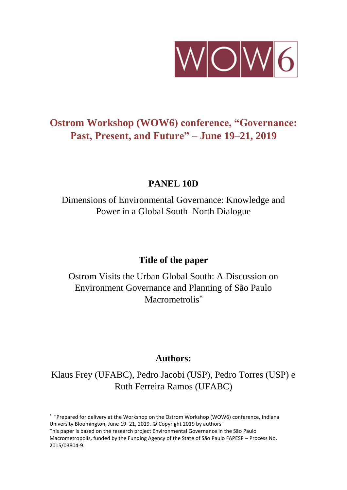

# **Ostrom Workshop (WOW6) conference, "Governance: Past, Present, and Future" – June 19–21, 2019**

## **PANEL 10D**

Dimensions of Environmental Governance: Knowledge and Power in a Global South–North Dialogue

## **Title of the paper**

Ostrom Visits the Urban Global South: A Discussion on Environment Governance and Planning of São Paulo Macrometrolis<sup>\*</sup>

## **Authors:**

Klaus Frey (UFABC), Pedro Jacobi (USP), Pedro Torres (USP) e Ruth Ferreira Ramos (UFABC)

**.** 

<sup>\*</sup> "Prepared for delivery at the Workshop on the Ostrom Workshop (WOW6) conference, Indiana University Bloomington, June 19–21, 2019. © Copyright 2019 by authors"

This paper is based on the research project Environmental Governance in the São Paulo Macrometropolis, funded by the Funding Agency of the State of São Paulo FAPESP – Process No. 2015/03804-9.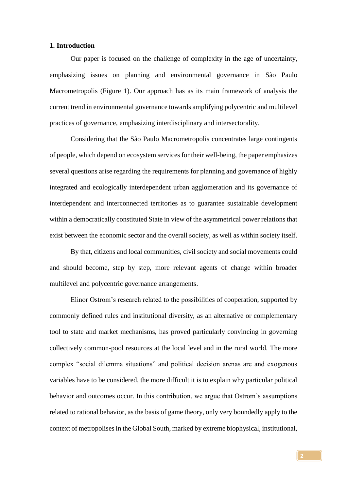### **1. Introduction**

Our paper is focused on the challenge of complexity in the age of uncertainty, emphasizing issues on planning and environmental governance in São Paulo Macrometropolis (Figure 1). Our approach has as its main framework of analysis the current trend in environmental governance towards amplifying polycentric and multilevel practices of governance, emphasizing interdisciplinary and intersectorality.

Considering that the São Paulo Macrometropolis concentrates large contingents of people, which depend on ecosystem services for their well-being, the paper emphasizes several questions arise regarding the requirements for planning and governance of highly integrated and ecologically interdependent urban agglomeration and its governance of interdependent and interconnected territories as to guarantee sustainable development within a democratically constituted State in view of the asymmetrical power relations that exist between the economic sector and the overall society, as well as within society itself.

By that, citizens and local communities, civil society and social movements could and should become, step by step, more relevant agents of change within broader multilevel and polycentric governance arrangements.

Elinor Ostrom's research related to the possibilities of cooperation, supported by commonly defined rules and institutional diversity, as an alternative or complementary tool to state and market mechanisms, has proved particularly convincing in governing collectively common-pool resources at the local level and in the rural world. The more complex "social dilemma situations" and political decision arenas are and exogenous variables have to be considered, the more difficult it is to explain why particular political behavior and outcomes occur. In this contribution, we argue that Ostrom's assumptions related to rational behavior, as the basis of game theory, only very boundedly apply to the context of metropolises in the Global South, marked by extreme biophysical, institutional,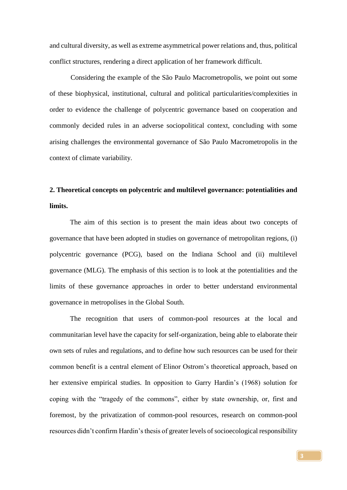and cultural diversity, as well as extreme asymmetrical power relations and, thus, political conflict structures, rendering a direct application of her framework difficult.

Considering the example of the São Paulo Macrometropolis, we point out some of these biophysical, institutional, cultural and political particularities/complexities in order to evidence the challenge of polycentric governance based on cooperation and commonly decided rules in an adverse sociopolitical context, concluding with some arising challenges the environmental governance of São Paulo Macrometropolis in the context of climate variability.

# **2. Theoretical concepts on polycentric and multilevel governance: potentialities and limits.**

The aim of this section is to present the main ideas about two concepts of governance that have been adopted in studies on governance of metropolitan regions, (i) polycentric governance (PCG), based on the Indiana School and (ii) multilevel governance (MLG). The emphasis of this section is to look at the potentialities and the limits of these governance approaches in order to better understand environmental governance in metropolises in the Global South.

The recognition that users of common-pool resources at the local and communitarian level have the capacity for self-organization, being able to elaborate their own sets of rules and regulations, and to define how such resources can be used for their common benefit is a central element of Elinor Ostrom's theoretical approach, based on her extensive empirical studies. In opposition to Garry Hardin's (1968) solution for coping with the "tragedy of the commons", either by state ownership, or, first and foremost, by the privatization of common-pool resources, research on common-pool resources didn't confirm Hardin's thesis of greater levels of socioecological responsibility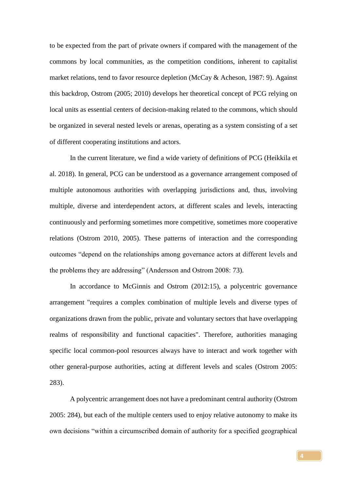to be expected from the part of private owners if compared with the management of the commons by local communities, as the competition conditions, inherent to capitalist market relations, tend to favor resource depletion (McCay & Acheson, 1987: 9). Against this backdrop, Ostrom (2005; 2010) develops her theoretical concept of PCG relying on local units as essential centers of decision-making related to the commons, which should be organized in several nested levels or arenas, operating as a system consisting of a set of different cooperating institutions and actors.

In the current literature, we find a wide variety of definitions of PCG (Heikkila et al. 2018). In general, PCG can be understood as a governance arrangement composed of multiple autonomous authorities with overlapping jurisdictions and, thus, involving multiple, diverse and interdependent actors, at different scales and levels, interacting continuously and performing sometimes more competitive, sometimes more cooperative relations (Ostrom 2010, 2005). These patterns of interaction and the corresponding outcomes "depend on the relationships among governance actors at different levels and the problems they are addressing" (Andersson and Ostrom 2008: 73).

In accordance to McGinnis and Ostrom (2012:15), a polycentric governance arrangement "requires a complex combination of multiple levels and diverse types of organizations drawn from the public, private and voluntary sectors that have overlapping realms of responsibility and functional capacities". Therefore, authorities managing specific local common-pool resources always have to interact and work together with other general-purpose authorities, acting at different levels and scales (Ostrom 2005: 283).

A polycentric arrangement does not have a predominant central authority (Ostrom 2005: 284), but each of the multiple centers used to enjoy relative autonomy to make its own decisions "within a circumscribed domain of authority for a specified geographical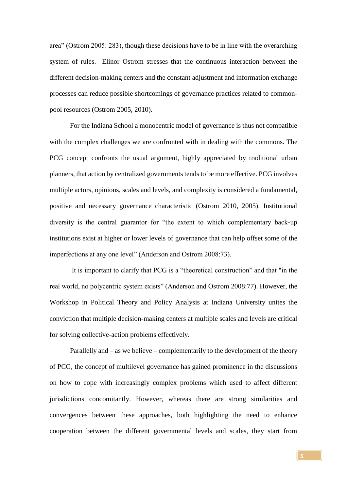area" (Ostrom 2005: 283), though these decisions have to be in line with the overarching system of rules. Elinor Ostrom stresses that the continuous interaction between the different decision-making centers and the constant adjustment and information exchange processes can reduce possible shortcomings of governance practices related to commonpool resources (Ostrom 2005, 2010).

For the Indiana School a monocentric model of governance is thus not compatible with the complex challenges we are confronted with in dealing with the commons. The PCG concept confronts the usual argument, highly appreciated by traditional urban planners, that action by centralized governments tends to be more effective. PCG involves multiple actors, opinions, scales and levels, and complexity is considered a fundamental, positive and necessary governance characteristic (Ostrom 2010, 2005). Institutional diversity is the central guarantor for "the extent to which complementary back-up institutions exist at higher or lower levels of governance that can help offset some of the imperfections at any one level" (Anderson and Ostrom 2008:73).

It is important to clarify that PCG is a "theoretical construction" and that "in the real world, no polycentric system exists" (Anderson and Ostrom 2008:77). However, the Workshop in Political Theory and Policy Analysis at Indiana University unites the conviction that multiple decision-making centers at multiple scales and levels are critical for solving collective-action problems effectively.

Parallelly and – as we believe – complementarily to the development of the theory of PCG, the concept of multilevel governance has gained prominence in the discussions on how to cope with increasingly complex problems which used to affect different jurisdictions concomitantly. However, whereas there are strong similarities and convergences between these approaches, both highlighting the need to enhance cooperation between the different governmental levels and scales, they start from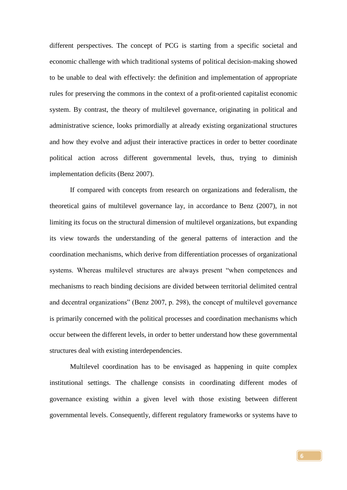different perspectives. The concept of PCG is starting from a specific societal and economic challenge with which traditional systems of political decision-making showed to be unable to deal with effectively: the definition and implementation of appropriate rules for preserving the commons in the context of a profit-oriented capitalist economic system. By contrast, the theory of multilevel governance, originating in political and administrative science, looks primordially at already existing organizational structures and how they evolve and adjust their interactive practices in order to better coordinate political action across different governmental levels, thus, trying to diminish implementation deficits (Benz 2007).

If compared with concepts from research on organizations and federalism, the theoretical gains of multilevel governance lay, in accordance to Benz (2007), in not limiting its focus on the structural dimension of multilevel organizations, but expanding its view towards the understanding of the general patterns of interaction and the coordination mechanisms, which derive from differentiation processes of organizational systems. Whereas multilevel structures are always present "when competences and mechanisms to reach binding decisions are divided between territorial delimited central and decentral organizations" (Benz 2007, p. 298), the concept of multilevel governance is primarily concerned with the political processes and coordination mechanisms which occur between the different levels, in order to better understand how these governmental structures deal with existing interdependencies.

Multilevel coordination has to be envisaged as happening in quite complex institutional settings. The challenge consists in coordinating different modes of governance existing within a given level with those existing between different governmental levels. Consequently, different regulatory frameworks or systems have to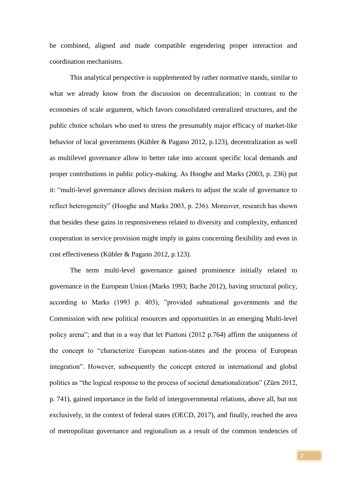be combined, aligned and made compatible engendering proper interaction and coordination mechanisms.

This analytical perspective is supplemented by rather normative stands, similar to what we already know from the discussion on decentralization; in contrast to the economies of scale argument, which favors consolidated centralized structures, and the public choice scholars who used to stress the presumably major efficacy of market-like behavior of local governments (Kübler & Pagano 2012, p.123), decentralization as well as multilevel governance allow to better take into account specific local demands and proper contributions in public policy-making. As Hooghe and Marks (2003, p. 236) put it: "multi-level governance allows decision makers to adjust the scale of governance to reflect heterogeneity" (Hooghe and Marks 2003, p. 236). Moreover, research has shown that besides these gains in responsiveness related to diversity and complexity, enhanced cooperation in service provision might imply in gains concerning flexibility and even in cost effectiveness (Kübler & Pagano 2012, p.123).

The term multi-level governance gained prominence initially related to governance in the European Union (Marks 1993; Bache 2012), having structural policy, according to Marks (1993 p. 403), "provided subnational governments and the Commission with new political resources and opportunities in an emerging Multi-level policy arena"; and that in a way that let Piattoni (2012 p.764) affirm the uniqueness of the concept to "characterize European nation-states and the process of European integration". However, subsequently the concept entered in international and global politics as "the logical response to the process of societal denationalization" (Zürn 2012, p. 741), gained importance in the field of intergovernmental relations, above all, but not exclusively, in the context of federal states (OECD, 2017), and finally, reached the area of metropolitan governance and regionalism as a result of the common tendencies of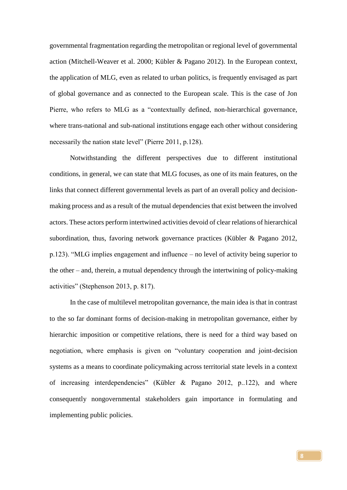governmental fragmentation regarding the metropolitan or regional level of governmental action (Mitchell-Weaver et al. 2000; Kübler & Pagano 2012). In the European context, the application of MLG, even as related to urban politics, is frequently envisaged as part of global governance and as connected to the European scale. This is the case of Jon Pierre, who refers to MLG as a "contextually defined, non-hierarchical governance, where trans-national and sub-national institutions engage each other without considering necessarily the nation state level" (Pierre 2011, p.128).

Notwithstanding the different perspectives due to different institutional conditions, in general, we can state that MLG focuses, as one of its main features, on the links that connect different governmental levels as part of an overall policy and decisionmaking process and as a result of the mutual dependencies that exist between the involved actors. These actors perform intertwined activities devoid of clear relations of hierarchical subordination, thus, favoring network governance practices (Kübler & Pagano 2012, p.123). "MLG implies engagement and influence – no level of activity being superior to the other – and, therein, a mutual dependency through the intertwining of policy-making activities" (Stephenson 2013, p. 817).

In the case of multilevel metropolitan governance, the main idea is that in contrast to the so far dominant forms of decision-making in metropolitan governance, either by hierarchic imposition or competitive relations, there is need for a third way based on negotiation, where emphasis is given on "voluntary cooperation and joint-decision systems as a means to coordinate policymaking across territorial state levels in a context of increasing interdependencies" (Kübler & Pagano 2012, p..122), and where consequently nongovernmental stakeholders gain importance in formulating and implementing public policies.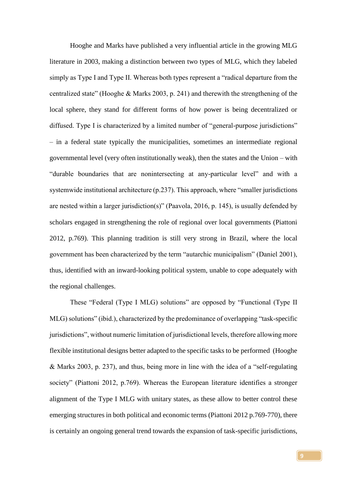Hooghe and Marks have published a very influential article in the growing MLG literature in 2003, making a distinction between two types of MLG, which they labeled simply as Type I and Type II. Whereas both types represent a "radical departure from the centralized state" (Hooghe & Marks 2003, p. 241) and therewith the strengthening of the local sphere, they stand for different forms of how power is being decentralized or diffused. Type I is characterized by a limited number of "general-purpose jurisdictions" – in a federal state typically the municipalities, sometimes an intermediate regional governmental level (very often institutionally weak), then the states and the Union – with "durable boundaries that are nonintersecting at any-particular level" and with a systemwide institutional architecture (p.237). This approach, where "smaller jurisdictions are nested within a larger jurisdiction(s)" (Paavola, 2016, p. 145), is usually defended by scholars engaged in strengthening the role of regional over local governments (Piattoni 2012, p.769). This planning tradition is still very strong in Brazil, where the local government has been characterized by the term "autarchic municipalism" (Daniel 2001), thus, identified with an inward-looking political system, unable to cope adequately with the regional challenges.

These "Federal (Type I MLG) solutions" are opposed by "Functional (Type II MLG) solutions" (ibid.), characterized by the predominance of overlapping "task-specific jurisdictions", without numeric limitation of jurisdictional levels, therefore allowing more flexible institutional designs better adapted to the specific tasks to be performed (Hooghe & Marks 2003, p. 237), and thus, being more in line with the idea of a "self-regulating society" (Piattoni 2012, p.769). Whereas the European literature identifies a stronger alignment of the Type I MLG with unitary states, as these allow to better control these emerging structures in both political and economic terms (Piattoni 2012 p.769-770), there is certainly an ongoing general trend towards the expansion of task-specific jurisdictions,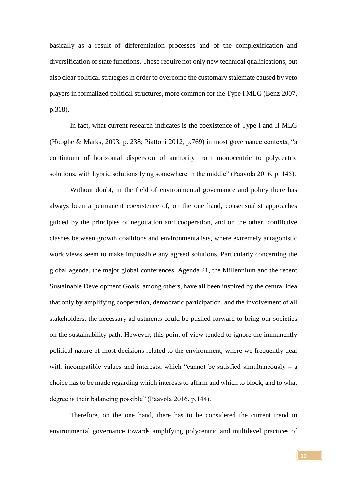basically as a result of differentiation processes and of the complexification and diversification of state functions. These require not only new technical qualifications, but also clear political strategies in order to overcome the customary stalemate caused by veto players in formalized political structures, more common for the Type I MLG (Benz 2007, p.308).

In fact, what current research indicates is the coexistence of Type I and II MLG (Hooghe & Marks, 2003, p. 238; Piattoni 2012, p.769) in most governance contexts, "a continuum of horizontal dispersion of authority from monocentric to polycentric solutions, with hybrid solutions lying somewhere in the middle" (Paavola 2016, p. 145).

Without doubt, in the field of environmental governance and policy there has always been a permanent coexistence of, on the one hand, consensualist approaches guided by the principles of negotiation and cooperation, and on the other, conflictive clashes between growth coalitions and environmentalists, where extremely antagonistic worldviews seem to make impossible any agreed solutions. Particularly concerning the global agenda, the major global conferences, Agenda 21, the Millennium and the recent Sustainable Development Goals, among others, have all been inspired by the central idea that only by amplifying cooperation, democratic participation, and the involvement of all stakeholders, the necessary adjustments could be pushed forward to bring our societies on the sustainability path. However, this point of view tended to ignore the immanently political nature of most decisions related to the environment, where we frequently deal with incompatible values and interests, which "cannot be satisfied simultaneously  $- a$ choice has to be made regarding which interests to affirm and which to block, and to what degree is their balancing possible" (Paavola 2016, p.144).

Therefore, on the one hand, there has to be considered the current trend in environmental governance towards amplifying polycentric and multilevel practices of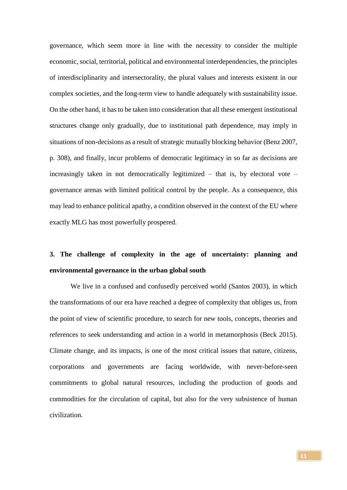governance, which seem more in line with the necessity to consider the multiple economic, social, territorial, political and environmental interdependencies, the principles of interdisciplinarity and intersectorality, the plural values and interests existent in our complex societies, and the long-term view to handle adequately with sustainability issue. On the other hand, it has to be taken into consideration that all these emergent institutional structures change only gradually, due to institutional path dependence, may imply in situations of non-decisions as a result of strategic mutually blocking behavior (Benz 2007, p. 308), and finally, incur problems of democratic legitimacy in so far as decisions are increasingly taken in not democratically legitimized – that is, by electoral vote – governance arenas with limited political control by the people. As a consequence, this may lead to enhance political apathy, a condition observed in the context of the EU where exactly MLG has most powerfully prospered.

# **3. The challenge of complexity in the age of uncertainty: planning and environmental governance in the urban global south**

We live in a confused and confusedly perceived world (Santos 2003), in which the transformations of our era have reached a degree of complexity that obliges us, from the point of view of scientific procedure, to search for new tools, concepts, theories and references to seek understanding and action in a world in metamorphosis (Beck 2015). Climate change, and its impacts, is one of the most critical issues that nature, citizens, corporations and governments are facing worldwide, with never-before-seen commitments to global natural resources, including the production of goods and commodities for the circulation of capital, but also for the very subsistence of human civilization.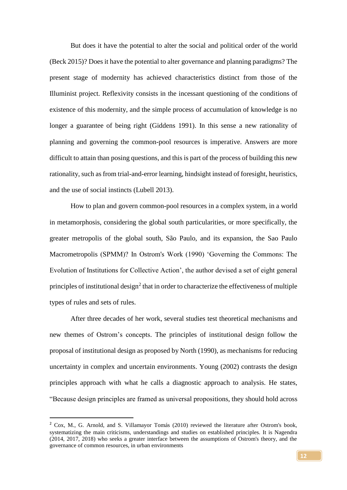But does it have the potential to alter the social and political order of the world (Beck 2015)? Does it have the potential to alter governance and planning paradigms? The present stage of modernity has achieved characteristics distinct from those of the Illuminist project. Reflexivity consists in the incessant questioning of the conditions of existence of this modernity, and the simple process of accumulation of knowledge is no longer a guarantee of being right (Giddens 1991). In this sense a new rationality of planning and governing the common-pool resources is imperative. Answers are more difficult to attain than posing questions, and this is part of the process of building this new rationality, such as from trial-and-error learning, hindsight instead of foresight, heuristics, and the use of social instincts (Lubell 2013).

How to plan and govern common-pool resources in a complex system, in a world in metamorphosis, considering the global south particularities, or more specifically, the greater metropolis of the global south, São Paulo, and its expansion, the Sao Paulo Macrometropolis (SPMM)? In Ostrom's Work (1990) 'Governing the Commons: The Evolution of Institutions for Collective Action', the author devised a set of eight general principles of institutional design<sup>2</sup> that in order to characterize the effectiveness of multiple types of rules and sets of rules.

After three decades of her work, several studies test theoretical mechanisms and new themes of Ostrom's concepts. The principles of institutional design follow the proposal of institutional design as proposed by North (1990), as mechanisms for reducing uncertainty in complex and uncertain environments. Young (2002) contrasts the design principles approach with what he calls a diagnostic approach to analysis. He states, "Because design principles are framed as universal propositions, they should hold across

**.** 

<sup>2</sup> Cox, M., G. Arnold, and S. Villamayor Tomás (2010) reviewed the literature after Ostrom's book, systematizing the main criticisms, understandings and studies on established principles. It is Nagendra (2014, 2017, 2018) who seeks a greater interface between the assumptions of Ostrom's theory, and the governance of common resources, in urban environments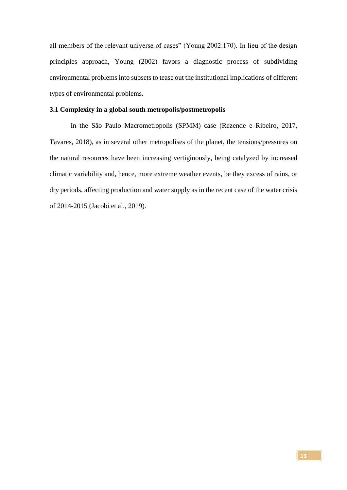all members of the relevant universe of cases" (Young 2002:170). In lieu of the design principles approach, Young (2002) favors a diagnostic process of subdividing environmental problems into subsets to tease out the institutional implications of different types of environmental problems.

#### **3.1 Complexity in a global south metropolis/postmetropolis**

In the São Paulo Macrometropolis (SPMM) case (Rezende e Ribeiro, 2017, Tavares, 2018), as in several other metropolises of the planet, the tensions/pressures on the natural resources have been increasing vertiginously, being catalyzed by increased climatic variability and, hence, more extreme weather events, be they excess of rains, or dry periods, affecting production and water supply as in the recent case of the water crisis of 2014-2015 (Jacobi et al., 2019).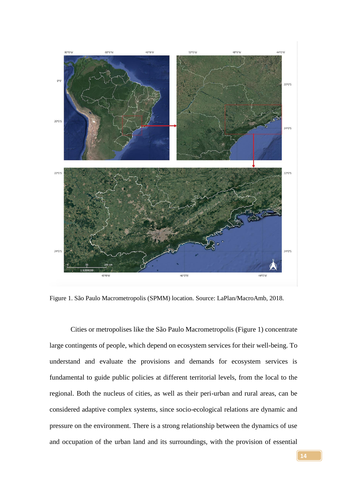

Figure 1. São Paulo Macrometropolis (SPMM) location. Source: LaPlan/MacroAmb, 2018.

Cities or metropolises like the São Paulo Macrometropolis (Figure 1) concentrate large contingents of people, which depend on ecosystem services for their well-being. To understand and evaluate the provisions and demands for ecosystem services is fundamental to guide public policies at different territorial levels, from the local to the regional. Both the nucleus of cities, as well as their peri-urban and rural areas, can be considered adaptive complex systems, since socio-ecological relations are dynamic and pressure on the environment. There is a strong relationship between the dynamics of use and occupation of the urban land and its surroundings, with the provision of essential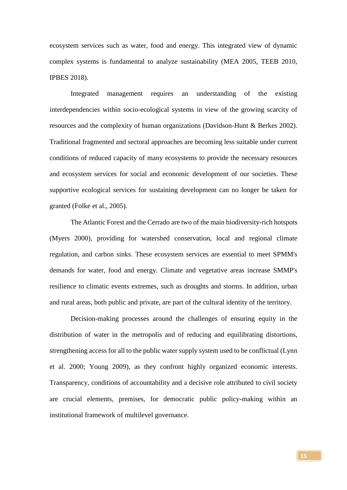ecosystem services such as water, food and energy. This integrated view of dynamic complex systems is fundamental to analyze sustainability (MEA 2005, TEEB 2010, IPBES 2018).

Integrated management requires an understanding of the existing interdependencies within socio-ecological systems in view of the growing scarcity of resources and the complexity of human organizations (Davidson-Hunt & Berkes 2002). Traditional fragmented and sectoral approaches are becoming less suitable under current conditions of reduced capacity of many ecosystems to provide the necessary resources and ecosystem services for social and economic development of our societies. These supportive ecological services for sustaining development can no longer be taken for granted (Folke et al., 2005).

The Atlantic Forest and the Cerrado are two of the main biodiversity-rich hotspots (Myers 2000), providing for watershed conservation, local and regional climate regulation, and carbon sinks. These ecosystem services are essential to meet SPMM's demands for water, food and energy. Climate and vegetative areas increase SMMP's resilience to climatic events extremes, such as droughts and storms. In addition, urban and rural areas, both public and private, are part of the cultural identity of the territory.

Decision-making processes around the challenges of ensuring equity in the distribution of water in the metropolis and of reducing and equilibrating distortions, strengthening access for all to the public water supply system used to be conflictual (Lynn et al. 2000; Young 2009), as they confront highly organized economic interests. Transparency, conditions of accountability and a decisive role attributed to civil society are crucial elements, premises, for democratic public policy-making within an institutional framework of multilevel governance.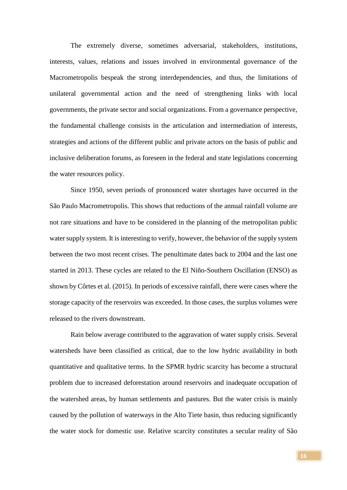The extremely diverse, sometimes adversarial, stakeholders, institutions, interests, values, relations and issues involved in environmental governance of the Macrometropolis bespeak the strong interdependencies, and thus, the limitations of unilateral governmental action and the need of strengthening links with local governments, the private sector and social organizations. From a governance perspective, the fundamental challenge consists in the articulation and intermediation of interests, strategies and actions of the different public and private actors on the basis of public and inclusive deliberation forums, as foreseen in the federal and state legislations concerning the water resources policy.

Since 1950, seven periods of pronounced water shortages have occurred in the São Paulo Macrometropolis. This shows that reductions of the annual rainfall volume are not rare situations and have to be considered in the planning of the metropolitan public water supply system. It is interesting to verify, however, the behavior of the supply system between the two most recent crises. The penultimate dates back to 2004 and the last one started in 2013. These cycles are related to the El Niño-Southern Oscillation (ENSO) as shown by Côrtes et al. (2015). In periods of excessive rainfall, there were cases where the storage capacity of the reservoirs was exceeded. In those cases, the surplus volumes were released to the rivers downstream.

Rain below average contributed to the aggravation of water supply crisis. Several watersheds have been classified as critical, due to the low hydric availability in both quantitative and qualitative terms. In the SPMR hydric scarcity has become a structural problem due to increased deforestation around reservoirs and inadequate occupation of the watershed areas, by human settlements and pastures. But the water crisis is mainly caused by the pollution of waterways in the Alto Tiete basin, thus reducing significantly the water stock for domestic use. Relative scarcity constitutes a secular reality of São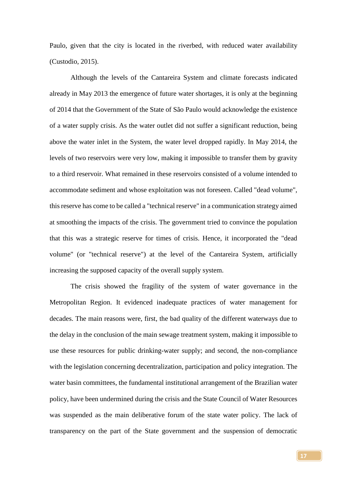Paulo, given that the city is located in the riverbed, with reduced water availability (Custodio, 2015).

Although the levels of the Cantareira System and climate forecasts indicated already in May 2013 the emergence of future water shortages, it is only at the beginning of 2014 that the Government of the State of São Paulo would acknowledge the existence of a water supply crisis. As the water outlet did not suffer a significant reduction, being above the water inlet in the System, the water level dropped rapidly. In May 2014, the levels of two reservoirs were very low, making it impossible to transfer them by gravity to a third reservoir. What remained in these reservoirs consisted of a volume intended to accommodate sediment and whose exploitation was not foreseen. Called "dead volume", this reserve has come to be called a "technical reserve" in a communication strategy aimed at smoothing the impacts of the crisis. The government tried to convince the population that this was a strategic reserve for times of crisis. Hence, it incorporated the "dead volume" (or "technical reserve") at the level of the Cantareira System, artificially increasing the supposed capacity of the overall supply system.

The crisis showed the fragility of the system of water governance in the Metropolitan Region. It evidenced inadequate practices of water management for decades. The main reasons were, first, the bad quality of the different waterways due to the delay in the conclusion of the main sewage treatment system, making it impossible to use these resources for public drinking-water supply; and second, the non-compliance with the legislation concerning decentralization, participation and policy integration. The water basin committees, the fundamental institutional arrangement of the Brazilian water policy, have been undermined during the crisis and the State Council of Water Resources was suspended as the main deliberative forum of the state water policy. The lack of transparency on the part of the State government and the suspension of democratic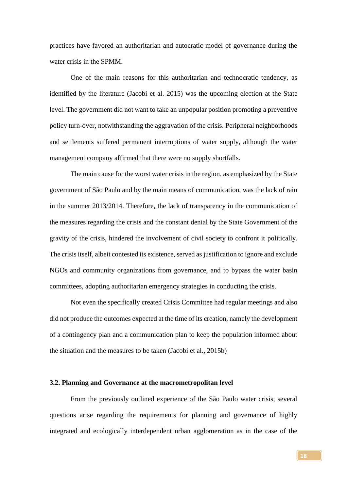practices have favored an authoritarian and autocratic model of governance during the water crisis in the SPMM.

One of the main reasons for this authoritarian and technocratic tendency, as identified by the literature (Jacobi et al. 2015) was the upcoming election at the State level. The government did not want to take an unpopular position promoting a preventive policy turn-over, notwithstanding the aggravation of the crisis. Peripheral neighborhoods and settlements suffered permanent interruptions of water supply, although the water management company affirmed that there were no supply shortfalls.

The main cause for the worst water crisis in the region, as emphasized by the State government of São Paulo and by the main means of communication, was the lack of rain in the summer 2013/2014. Therefore, the lack of transparency in the communication of the measures regarding the crisis and the constant denial by the State Government of the gravity of the crisis, hindered the involvement of civil society to confront it politically. The crisis itself, albeit contested its existence, served as justification to ignore and exclude NGOs and community organizations from governance, and to bypass the water basin committees, adopting authoritarian emergency strategies in conducting the crisis.

Not even the specifically created Crisis Committee had regular meetings and also did not produce the outcomes expected at the time of its creation, namely the development of a contingency plan and a communication plan to keep the population informed about the situation and the measures to be taken (Jacobi et al., 2015b)

#### **3.2. Planning and Governance at the macrometropolitan level**

From the previously outlined experience of the São Paulo water crisis, several questions arise regarding the requirements for planning and governance of highly integrated and ecologically interdependent urban agglomeration as in the case of the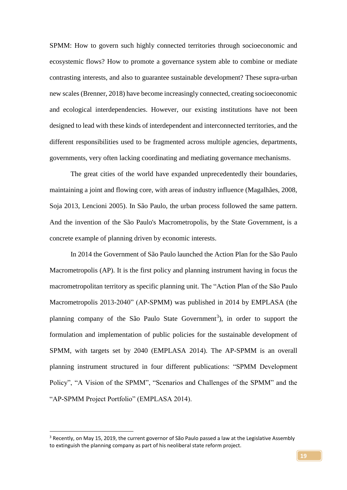SPMM: How to govern such highly connected territories through socioeconomic and ecosystemic flows? How to promote a governance system able to combine or mediate contrasting interests, and also to guarantee sustainable development? These supra-urban new scales (Brenner, 2018) have become increasingly connected, creating socioeconomic and ecological interdependencies. However, our existing institutions have not been designed to lead with these kinds of interdependent and interconnected territories, and the different responsibilities used to be fragmented across multiple agencies, departments, governments, very often lacking coordinating and mediating governance mechanisms.

The great cities of the world have expanded unprecedentedly their boundaries, maintaining a joint and flowing core, with areas of industry influence (Magalhães, 2008, Soja 2013, Lencioni 2005). In São Paulo, the urban process followed the same pattern. And the invention of the São Paulo's Macrometropolis, by the State Government, is a concrete example of planning driven by economic interests.

In 2014 the Government of São Paulo launched the Action Plan for the São Paulo Macrometropolis (AP). It is the first policy and planning instrument having in focus the macrometropolitan territory as specific planning unit. The "Action Plan of the São Paulo Macrometropolis 2013-2040" (AP-SPMM) was published in 2014 by EMPLASA (the planning company of the São Paulo State Government<sup>3</sup>), in order to support the formulation and implementation of public policies for the sustainable development of SPMM, with targets set by 2040 (EMPLASA 2014). The AP-SPMM is an overall planning instrument structured in four different publications: "SPMM Development Policy", "A Vision of the SPMM", "Scenarios and Challenges of the SPMM" and the "AP-SPMM Project Portfolio" (EMPLASA 2014).

**.** 

<sup>&</sup>lt;sup>3</sup> Recently, on May 15, 2019, the current governor of São Paulo passed a law at the Legislative Assembly to extinguish the planning company as part of his neoliberal state reform project.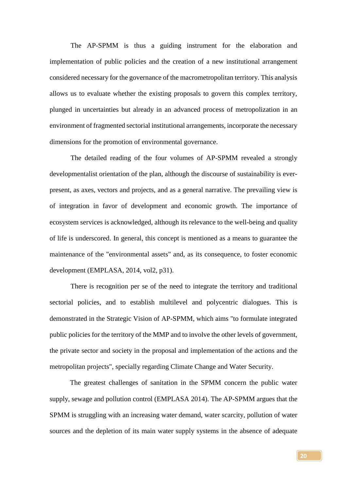The AP-SPMM is thus a guiding instrument for the elaboration and implementation of public policies and the creation of a new institutional arrangement considered necessary for the governance of the macrometropolitan territory. This analysis allows us to evaluate whether the existing proposals to govern this complex territory, plunged in uncertainties but already in an advanced process of metropolization in an environment of fragmented sectorial institutional arrangements, incorporate the necessary dimensions for the promotion of environmental governance.

The detailed reading of the four volumes of AP-SPMM revealed a strongly developmentalist orientation of the plan, although the discourse of sustainability is everpresent, as axes, vectors and projects, and as a general narrative. The prevailing view is of integration in favor of development and economic growth. The importance of ecosystem services is acknowledged, although its relevance to the well-being and quality of life is underscored. In general, this concept is mentioned as a means to guarantee the maintenance of the "environmental assets" and, as its consequence, to foster economic development (EMPLASA, 2014, vol2, p31).

There is recognition per se of the need to integrate the territory and traditional sectorial policies, and to establish multilevel and polycentric dialogues. This is demonstrated in the Strategic Vision of AP-SPMM, which aims "to formulate integrated public policies for the territory of the MMP and to involve the other levels of government, the private sector and society in the proposal and implementation of the actions and the metropolitan projects", specially regarding Climate Change and Water Security.

The greatest challenges of sanitation in the SPMM concern the public water supply, sewage and pollution control (EMPLASA 2014). The AP-SPMM argues that the SPMM is struggling with an increasing water demand, water scarcity, pollution of water sources and the depletion of its main water supply systems in the absence of adequate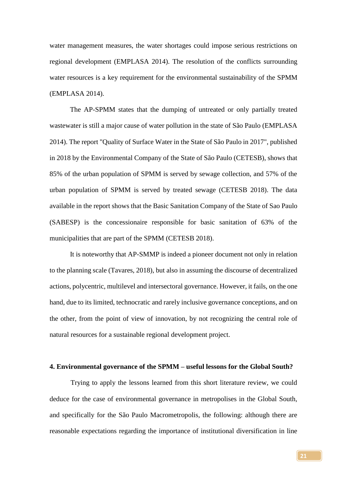water management measures, the water shortages could impose serious restrictions on regional development (EMPLASA 2014). The resolution of the conflicts surrounding water resources is a key requirement for the environmental sustainability of the SPMM (EMPLASA 2014).

The AP-SPMM states that the dumping of untreated or only partially treated wastewater is still a major cause of water pollution in the state of São Paulo (EMPLASA 2014). The report "Quality of Surface Water in the State of São Paulo in 2017", published in 2018 by the Environmental Company of the State of São Paulo (CETESB), shows that 85% of the urban population of SPMM is served by sewage collection, and 57% of the urban population of SPMM is served by treated sewage (CETESB 2018). The data available in the report shows that the Basic Sanitation Company of the State of Sao Paulo (SABESP) is the concessionaire responsible for basic sanitation of 63% of the municipalities that are part of the SPMM (CETESB 2018).

It is noteworthy that AP-SMMP is indeed a pioneer document not only in relation to the planning scale (Tavares, 2018), but also in assuming the discourse of decentralized actions, polycentric, multilevel and intersectoral governance. However, it fails, on the one hand, due to its limited, technocratic and rarely inclusive governance conceptions, and on the other, from the point of view of innovation, by not recognizing the central role of natural resources for a sustainable regional development project.

#### **4. Environmental governance of the SPMM – useful lessons for the Global South?**

Trying to apply the lessons learned from this short literature review, we could deduce for the case of environmental governance in metropolises in the Global South, and specifically for the São Paulo Macrometropolis, the following: although there are reasonable expectations regarding the importance of institutional diversification in line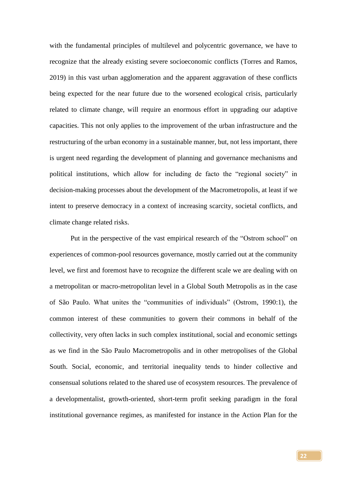with the fundamental principles of multilevel and polycentric governance, we have to recognize that the already existing severe socioeconomic conflicts (Torres and Ramos, 2019) in this vast urban agglomeration and the apparent aggravation of these conflicts being expected for the near future due to the worsened ecological crisis, particularly related to climate change, will require an enormous effort in upgrading our adaptive capacities. This not only applies to the improvement of the urban infrastructure and the restructuring of the urban economy in a sustainable manner, but, not less important, there is urgent need regarding the development of planning and governance mechanisms and political institutions, which allow for including de facto the "regional society" in decision-making processes about the development of the Macrometropolis, at least if we intent to preserve democracy in a context of increasing scarcity, societal conflicts, and climate change related risks.

Put in the perspective of the vast empirical research of the "Ostrom school" on experiences of common-pool resources governance, mostly carried out at the community level, we first and foremost have to recognize the different scale we are dealing with on a metropolitan or macro-metropolitan level in a Global South Metropolis as in the case of São Paulo. What unites the "communities of individuals" (Ostrom, 1990:1), the common interest of these communities to govern their commons in behalf of the collectivity, very often lacks in such complex institutional, social and economic settings as we find in the São Paulo Macrometropolis and in other metropolises of the Global South. Social, economic, and territorial inequality tends to hinder collective and consensual solutions related to the shared use of ecosystem resources. The prevalence of a developmentalist, growth-oriented, short-term profit seeking paradigm in the foral institutional governance regimes, as manifested for instance in the Action Plan for the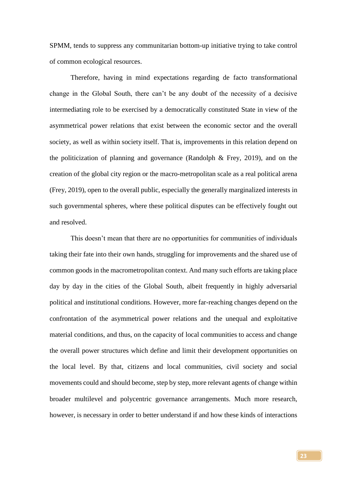SPMM, tends to suppress any communitarian bottom-up initiative trying to take control of common ecological resources.

Therefore, having in mind expectations regarding de facto transformational change in the Global South, there can't be any doubt of the necessity of a decisive intermediating role to be exercised by a democratically constituted State in view of the asymmetrical power relations that exist between the economic sector and the overall society, as well as within society itself. That is, improvements in this relation depend on the politicization of planning and governance (Randolph  $\&$  Frey, 2019), and on the creation of the global city region or the macro-metropolitan scale as a real political arena (Frey, 2019), open to the overall public, especially the generally marginalized interests in such governmental spheres, where these political disputes can be effectively fought out and resolved.

This doesn't mean that there are no opportunities for communities of individuals taking their fate into their own hands, struggling for improvements and the shared use of common goods in the macrometropolitan context. And many such efforts are taking place day by day in the cities of the Global South, albeit frequently in highly adversarial political and institutional conditions. However, more far-reaching changes depend on the confrontation of the asymmetrical power relations and the unequal and exploitative material conditions, and thus, on the capacity of local communities to access and change the overall power structures which define and limit their development opportunities on the local level. By that, citizens and local communities, civil society and social movements could and should become, step by step, more relevant agents of change within broader multilevel and polycentric governance arrangements. Much more research, however, is necessary in order to better understand if and how these kinds of interactions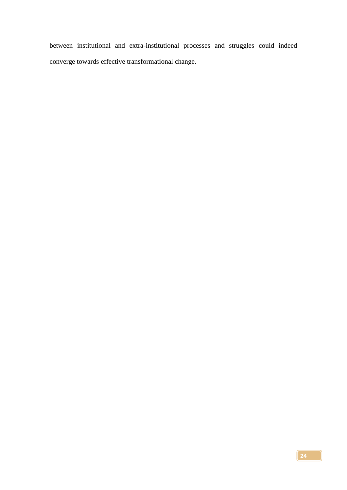between institutional and extra-institutional processes and struggles could indeed converge towards effective transformational change.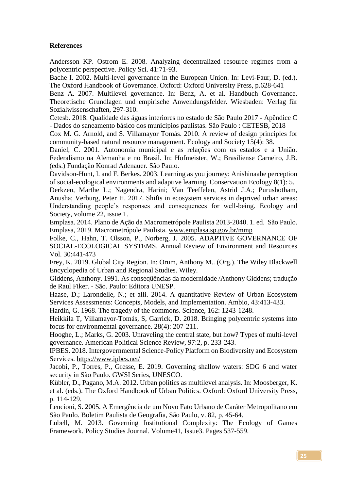### **References**

Andersson KP. Ostrom E. 2008. Analyzing decentralized resource regimes from a polycentric perspective. Policy Sci. 41:71-93.

Bache I. 2002. Multi-level governance in the European Union. In: Levi-Faur, D. (ed.). The Oxford Handbook of Governance. Oxford: Oxford University Press, p.628-641

Benz A. 2007. Multilevel governance. In: Benz, A. et al. Handbuch Governance. Theoretische Grundlagen und empirische Anwendungsfelder. Wiesbaden: Verlag für Sozialwissenschaften, 297-310.

Cetesb. 2018. Qualidade das águas interiores no estado de São Paulo 2017 - Apêndice C - Dados do saneamento básico dos municípios paulistas. São Paulo : CETESB, 2018

Cox M. G. Arnold, and S. Villamayor Tomás. 2010. A review of design principles for community-based natural resource management. Ecology and Society 15(4): 38.

Daniel, C. 2001. Autonomia municipal e as relações com os estados e a União. Federalismo na Alemanha e no Brasil. In: Hofmeister, W.; Brasiliense Carneiro, J.B. (eds.) Fundação Konrad Adenauer. São Paulo.

Davidson-Hunt, I. and F. Berkes. 2003. Learning as you journey: Anishinaabe perception of social-ecological environments and adaptive learning. Conservation Ecology 8(1): 5.

Derkzen, Marthe L.; Nagendra, Harini; Van Teeffelen, Astrid J.A.; Purushotham, Anusha; Verburg, Peter H. 2017. Shifts in ecosystem services in deprived urban areas: Understanding people's responses and consequences for well-being. Ecology and Society, volume 22, issue 1.

Emplasa. 2014. Plano de Ação da Macrometrópole Paulista 2013-2040. 1. ed. São Paulo. Emplasa, 2019. Macrometrópole Paulista. [www.emplasa.sp.gov.br/mmp](http://www.emplasa.sp.gov.br/mmp)

Folke, C., Hahn, T. Olsson, P., Norberg, J. 2005. ADAPTIVE GOVERNANCE OF SOCIAL-ECOLOGICAL SYSTEMS. Annual Review of Environment and Resources Vol. 30:441-473

Frey, K. 2019. Global City Region. In: Orum, Anthony M.. (Org.). The Wiley Blackwell Encyclopedia of Urban and Regional Studies. Wiley.

Giddens, Anthony. 1991. As conseqüências da modernidade /Anthony Giddens; tradução de Raul Fiker. - São. Paulo: Editora UNESP.

Haase, D.; Larondelle, N.; et alli. 2014. A quantitative Review of Urban Ecosystem Services Assessments: Concepts, Models, and Implementation. Ambio, 43:413-433.

Hardin, G. 1968. The tragedy of the commons. Science, 162: 1243-1248.

Heikkila T, Villamayor-Tomás, S, Garrick, D. 2018. Bringing polycentric systems into focus for environmental governance. 28(4): 207-211.

Hooghe, L.; Marks, G. 2003. Unraveling the central state, but how? Types of multi-level governance. American Political Science Review, 97:2, p. 233-243.

IPBES. 2018. Intergovernmental Science-Policy Platform on Biodiversity and Ecosystem Services.<https://www.ipbes.net/>

Jacobi, P., Torres, P., Gresse, E. 2019. Governing shallow waters: SDG 6 and water security in São Paulo. GWSI Series, UNESCO.

Kübler, D., Pagano, M.A. 2012. Urban politics as multilevel analysis. In: Moosberger, K. et al. (eds.). The Oxford Handbook of Urban Politics. Oxford: Oxford University Press, p. 114-129.

Lencioni, S. 2005. A Emergência de um Novo Fato Urbano de Caráter Metropolitano em São Paulo. Boletim Paulista de Geografia, São Paulo, v. 82, p. 45-64.

Lubell, M. 2013. Governing Institutional Complexity: The Ecology of Games Framework. Policy Studies Journal. Volume41, Issue3. Pages 537-559.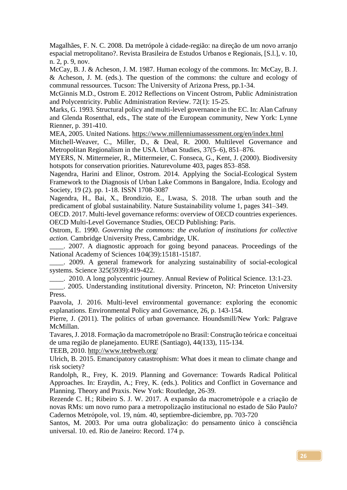Magalhães, F. N. C. 2008. Da metrópole à cidade-região: na direção de um novo arranjo espacial metropolitano?. Revista Brasileira de Estudos Urbanos e Regionais, [S.l.], v. 10, n. 2, p. 9, nov.

McCay, B. J. & Acheson, J. M. 1987. Human ecology of the commons. In: McCay, B. J. & Acheson, J. M. (eds.). The question of the commons: the culture and ecology of communal ressources. Tucson: The University of Arizona Press, pp.1-34.

McGinnis M.D., Ostrom E. 2012 Reflections on Vincent Ostrom, Public Administration and Polycentricity. Public Administration Review. 72(1): 15-25.

Marks, G. 1993. Structural policy and multi-level governance in the EC. In: Alan Cafruny and Glenda Rosenthal, eds., The state of the European community, New York: Lynne Rienner, p. 391-410.

MEA, 2005. United Nations.<https://www.millenniumassessment.org/en/index.html>

Mitchell-Weaver, C., Miller, D., & Deal, R. 2000. Multilevel Governance and Metropolitan Regionalism in the USA. Urban Studies, 37(5–6), 851–876.

MYERS, N. Mittermeier, R., Mittermeier, C. Fonseca, G., Kent, J. (2000). Biodiversity hotspots for conservation priorities. Naturevolume 403, pages 853–858.

Nagendra, Harini and Elinor, Ostrom. 2014. Applying the Social-Ecological System Framework to the Diagnosis of Urban Lake Commons in Bangalore, India. Ecology and Society, 19 (2). pp. 1-18. ISSN 1708-3087

Nagendra, H., Bai, X., Brondizio, E., Lwasa, S. 2018. The urban south and the predicament of global sustainability. Nature Sustainability volume 1, pages 341–349.

OECD. 2017. Multi-level governance reforms: overview of OECD countries experiences. OECD Multi-Level Governance Studies, OECD Publishing: Paris.

Ostrom, E. 1990. *Governing the commons: the evolution of institutions for collective action.* Cambridge University Press, Cambridge, UK.

. 2007. A diagnostic approach for going beyond panaceas. Proceedings of the National Academy of Sciences 104(39):15181-15187.

. 2009. A general framework for analyzing sustainability of social-ecological systems. Science 325(5939):419-422.

\_\_\_\_. 2010. A long polycentric journey. Annual Review of Political Science. 13:1-23.

\_\_\_\_. 2005. Understanding institutional diversity. Princeton, NJ: Princeton University Press.

Paavola, J. 2016. Multi-level environmental governance: exploring the economic explanations. Environmental Policy and Governance, 26, p. 143-154.

Pierre, J. (2011). The politics of urban governance. Houndsmill/New York: Palgrave McMillan.

Tavares, J. 2018. Formação da macrometrópole no Brasil: Construção teórica e conceituai de uma região de planejamento. EURE (Santiago), 44(133), 115-134.

TEEB, 2010.<http://www.teebweb.org/>

Ulrich, B. 2015. Emancipatory catastrophism: What does it mean to climate change and risk society?

Randolph, R., Frey, K. 2019. Planning and Governance: Towards Radical Political Approaches. In: Eraydin, A.; Frey, K. (eds.). Politics and Conflict in Governance and Planning. Theory and Praxis. New York: Routledge, 26-39.

Rezende C. H.; Ribeiro S. J. W. 2017. A expansão da macrometrópole e a criação de novas RMs: um novo rumo para a metropolização institucional no estado de São Paulo? Cadernos Metrópole, vol. 19, núm. 40, septiembre-diciembre, pp. 703-720

Santos, M. 2003. Por uma outra globalização: do pensamento único à consciência universal. 10. ed. Rio de Janeiro: Record. 174 p.